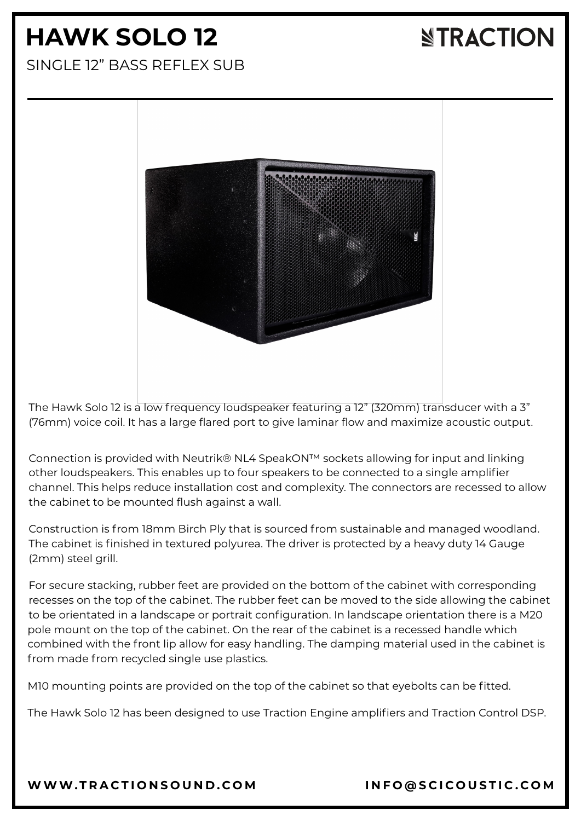# **HAWK SOLO 12**

### **NTRACTION**

SINGLE 12" BASS REFLEX SUB



The Hawk Solo 12 is a low frequency loudspeaker featuring a 12" (320mm) transducer with a 3" (76mm) voice coil. It has a large flared port to give laminar flow and maximize acoustic output.

Connection is provided with Neutrik® NL4 SpeakON™ sockets allowing for input and linking other loudspeakers. This enables up to four speakers to be connected to a single amplifier channel. This helps reduce installation cost and complexity. The connectors are recessed to allow the cabinet to be mounted flush against a wall.

Construction is from 18mm Birch Ply that is sourced from sustainable and managed woodland. The cabinet is finished in textured polyurea. The driver is protected by a heavy duty 14 Gauge (2mm) steel grill.

For secure stacking, rubber feet are provided on the bottom of the cabinet with corresponding recesses on the top of the cabinet. The rubber feet can be moved to the side allowing the cabinet to be orientated in a landscape or portrait configuration. In landscape orientation there is a M20 pole mount on the top of the cabinet. On the rear of the cabinet is a recessed handle which combined with the front lip allow for easy handling. The damping material used in the cabinet is from made from recycled single use plastics.

M10 mounting points are provided on the top of the cabinet so that eyebolts can be fitted.

The Hawk Solo 12 has been designed to use Traction Engine amplifiers and Traction Control DSP.

[WWW.T](https://www.tractionsound.com/)RACTIONSOUND.COM INFO[@](mailto:info@scicoustic.com)SCICOUSTIC.COM